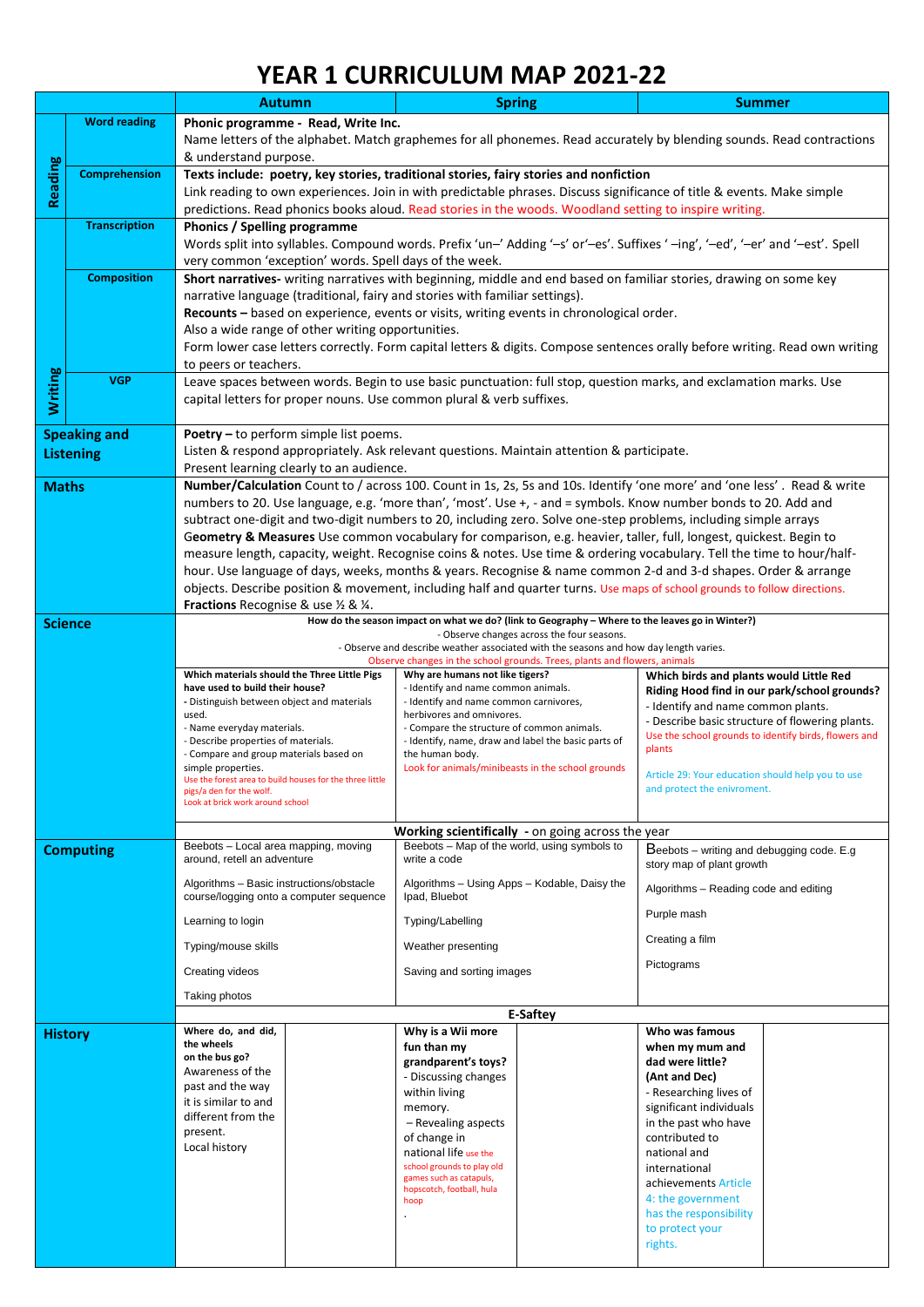## **YEAR 1 CURRICULUM MAP 2021-22**

|                     |                      | <b>Autumn</b>                                                                                                                           |                                                                                                                    | <b>Spring</b>                                                                                                     |  | <b>Summer</b>                                                                                                                 |  |  |  |  |  |
|---------------------|----------------------|-----------------------------------------------------------------------------------------------------------------------------------------|--------------------------------------------------------------------------------------------------------------------|-------------------------------------------------------------------------------------------------------------------|--|-------------------------------------------------------------------------------------------------------------------------------|--|--|--|--|--|
|                     | <b>Word reading</b>  | Phonic programme - Read, Write Inc.                                                                                                     |                                                                                                                    |                                                                                                                   |  |                                                                                                                               |  |  |  |  |  |
|                     |                      | Name letters of the alphabet. Match graphemes for all phonemes. Read accurately by blending sounds. Read contractions                   |                                                                                                                    |                                                                                                                   |  |                                                                                                                               |  |  |  |  |  |
|                     |                      | & understand purpose.                                                                                                                   |                                                                                                                    |                                                                                                                   |  |                                                                                                                               |  |  |  |  |  |
| Reading             | <b>Comprehension</b> | Texts include: poetry, key stories, traditional stories, fairy stories and nonfiction                                                   |                                                                                                                    |                                                                                                                   |  |                                                                                                                               |  |  |  |  |  |
|                     |                      | Link reading to own experiences. Join in with predictable phrases. Discuss significance of title & events. Make simple                  |                                                                                                                    |                                                                                                                   |  |                                                                                                                               |  |  |  |  |  |
|                     |                      |                                                                                                                                         |                                                                                                                    |                                                                                                                   |  | predictions. Read phonics books aloud. Read stories in the woods. Woodland setting to inspire writing.                        |  |  |  |  |  |
|                     | <b>Transcription</b> | <b>Phonics / Spelling programme</b>                                                                                                     |                                                                                                                    |                                                                                                                   |  |                                                                                                                               |  |  |  |  |  |
|                     |                      |                                                                                                                                         |                                                                                                                    |                                                                                                                   |  | Words split into syllables. Compound words. Prefix 'un-' Adding '-s' or'-es'. Suffixes '-ing', '-ed', '-er' and '-est'. Spell |  |  |  |  |  |
|                     |                      |                                                                                                                                         |                                                                                                                    | very common 'exception' words. Spell days of the week.                                                            |  |                                                                                                                               |  |  |  |  |  |
|                     | <b>Composition</b>   |                                                                                                                                         | Short narratives- writing narratives with beginning, middle and end based on familiar stories, drawing on some key |                                                                                                                   |  |                                                                                                                               |  |  |  |  |  |
|                     |                      | narrative language (traditional, fairy and stories with familiar settings).                                                             |                                                                                                                    |                                                                                                                   |  |                                                                                                                               |  |  |  |  |  |
|                     |                      | Recounts - based on experience, events or visits, writing events in chronological order.                                                |                                                                                                                    |                                                                                                                   |  |                                                                                                                               |  |  |  |  |  |
|                     |                      | Also a wide range of other writing opportunities.                                                                                       |                                                                                                                    |                                                                                                                   |  |                                                                                                                               |  |  |  |  |  |
|                     |                      |                                                                                                                                         |                                                                                                                    |                                                                                                                   |  | Form lower case letters correctly. Form capital letters & digits. Compose sentences orally before writing. Read own writing   |  |  |  |  |  |
|                     |                      | to peers or teachers.                                                                                                                   |                                                                                                                    |                                                                                                                   |  |                                                                                                                               |  |  |  |  |  |
| Writing             | <b>VGP</b>           |                                                                                                                                         |                                                                                                                    | Leave spaces between words. Begin to use basic punctuation: full stop, question marks, and exclamation marks. Use |  |                                                                                                                               |  |  |  |  |  |
|                     |                      |                                                                                                                                         |                                                                                                                    | capital letters for proper nouns. Use common plural & verb suffixes.                                              |  |                                                                                                                               |  |  |  |  |  |
|                     |                      |                                                                                                                                         |                                                                                                                    |                                                                                                                   |  |                                                                                                                               |  |  |  |  |  |
| <b>Speaking and</b> |                      | Poetry - to perform simple list poems.                                                                                                  |                                                                                                                    |                                                                                                                   |  |                                                                                                                               |  |  |  |  |  |
| <b>Listening</b>    |                      | Listen & respond appropriately. Ask relevant questions. Maintain attention & participate.                                               |                                                                                                                    |                                                                                                                   |  |                                                                                                                               |  |  |  |  |  |
|                     |                      | Present learning clearly to an audience.                                                                                                |                                                                                                                    |                                                                                                                   |  |                                                                                                                               |  |  |  |  |  |
| <b>Maths</b>        |                      | Number/Calculation Count to / across 100. Count in 1s, 2s, 5s and 10s. Identify 'one more' and 'one less'. Read & write                 |                                                                                                                    |                                                                                                                   |  |                                                                                                                               |  |  |  |  |  |
|                     |                      | numbers to 20. Use language, e.g. 'more than', 'most'. Use +, - and = symbols. Know number bonds to 20. Add and                         |                                                                                                                    |                                                                                                                   |  |                                                                                                                               |  |  |  |  |  |
|                     |                      | subtract one-digit and two-digit numbers to 20, including zero. Solve one-step problems, including simple arrays                        |                                                                                                                    |                                                                                                                   |  |                                                                                                                               |  |  |  |  |  |
|                     |                      | Geometry & Measures Use common vocabulary for comparison, e.g. heavier, taller, full, longest, quickest. Begin to                       |                                                                                                                    |                                                                                                                   |  |                                                                                                                               |  |  |  |  |  |
|                     |                      | measure length, capacity, weight. Recognise coins & notes. Use time & ordering vocabulary. Tell the time to hour/half-                  |                                                                                                                    |                                                                                                                   |  |                                                                                                                               |  |  |  |  |  |
|                     |                      | hour. Use language of days, weeks, months & years. Recognise & name common 2-d and 3-d shapes. Order & arrange                          |                                                                                                                    |                                                                                                                   |  |                                                                                                                               |  |  |  |  |  |
|                     |                      | objects. Describe position & movement, including half and quarter turns. Use maps of school grounds to follow directions.               |                                                                                                                    |                                                                                                                   |  |                                                                                                                               |  |  |  |  |  |
| <b>Science</b>      |                      | Fractions Recognise & use 1/2 & 1/4.<br>How do the season impact on what we do? (link to Geography - Where to the leaves go in Winter?) |                                                                                                                    |                                                                                                                   |  |                                                                                                                               |  |  |  |  |  |
|                     |                      | - Observe changes across the four seasons.                                                                                              |                                                                                                                    |                                                                                                                   |  |                                                                                                                               |  |  |  |  |  |
|                     |                      |                                                                                                                                         |                                                                                                                    | - Observe and describe weather associated with the seasons and how day length varies.                             |  |                                                                                                                               |  |  |  |  |  |
|                     |                      | Which materials should the Three Little Pigs                                                                                            |                                                                                                                    | Observe changes in the school grounds. Trees, plants and flowers, animals<br>Why are humans not like tigers?      |  |                                                                                                                               |  |  |  |  |  |
|                     |                      | have used to build their house?                                                                                                         |                                                                                                                    | - Identify and name common animals.                                                                               |  | Which birds and plants would Little Red<br>Riding Hood find in our park/school grounds?                                       |  |  |  |  |  |
|                     |                      | - Distinguish between object and materials                                                                                              |                                                                                                                    | - Identify and name common carnivores,                                                                            |  | - Identify and name common plants.                                                                                            |  |  |  |  |  |
|                     |                      | used.                                                                                                                                   |                                                                                                                    | herbivores and omnivores.                                                                                         |  | - Describe basic structure of flowering plants.                                                                               |  |  |  |  |  |
|                     |                      | - Name everyday materials.<br>- Describe properties of materials.                                                                       |                                                                                                                    | - Compare the structure of common animals.<br>- Identify, name, draw and label the basic parts of                 |  | Use the school grounds to identify birds, flowers and                                                                         |  |  |  |  |  |
|                     |                      | - Compare and group materials based on                                                                                                  |                                                                                                                    | the human body.                                                                                                   |  | plants                                                                                                                        |  |  |  |  |  |
|                     |                      | simple properties.<br>Use the forest area to build houses for the three little                                                          |                                                                                                                    | Look for animals/minibeasts in the school grounds                                                                 |  | Article 29: Your education should help you to use                                                                             |  |  |  |  |  |
|                     |                      | pigs/a den for the wolf.                                                                                                                |                                                                                                                    |                                                                                                                   |  | and protect the enivroment.                                                                                                   |  |  |  |  |  |
|                     |                      | Look at brick work around school                                                                                                        |                                                                                                                    |                                                                                                                   |  |                                                                                                                               |  |  |  |  |  |
|                     |                      |                                                                                                                                         |                                                                                                                    | Working scientifically - on going across the year                                                                 |  |                                                                                                                               |  |  |  |  |  |
| <b>Computing</b>    |                      | Beebots - Local area mapping, moving                                                                                                    |                                                                                                                    | Beebots - Map of the world, using symbols to                                                                      |  | Beebots - writing and debugging code. E.g                                                                                     |  |  |  |  |  |
|                     |                      | around, retell an adventure                                                                                                             |                                                                                                                    | write a code                                                                                                      |  | story map of plant growth                                                                                                     |  |  |  |  |  |
|                     |                      | Algorithms - Basic instructions/obstacle<br>course/logging onto a computer sequence                                                     |                                                                                                                    | Algorithms - Using Apps - Kodable, Daisy the<br>Ipad, Bluebot                                                     |  | Algorithms - Reading code and editing                                                                                         |  |  |  |  |  |
|                     |                      |                                                                                                                                         |                                                                                                                    |                                                                                                                   |  | Purple mash                                                                                                                   |  |  |  |  |  |
|                     |                      | Learning to login                                                                                                                       |                                                                                                                    | Typing/Labelling                                                                                                  |  |                                                                                                                               |  |  |  |  |  |
|                     |                      | Typing/mouse skills                                                                                                                     |                                                                                                                    | Weather presenting                                                                                                |  | Creating a film                                                                                                               |  |  |  |  |  |
|                     |                      | Creating videos                                                                                                                         |                                                                                                                    | Saving and sorting images                                                                                         |  | Pictograms                                                                                                                    |  |  |  |  |  |
|                     |                      | Taking photos                                                                                                                           |                                                                                                                    |                                                                                                                   |  |                                                                                                                               |  |  |  |  |  |
|                     |                      | E-Saftey                                                                                                                                |                                                                                                                    |                                                                                                                   |  |                                                                                                                               |  |  |  |  |  |
| <b>History</b>      |                      | Where do, and did,                                                                                                                      |                                                                                                                    | Why is a Wii more                                                                                                 |  | Who was famous                                                                                                                |  |  |  |  |  |
|                     |                      | the wheels                                                                                                                              |                                                                                                                    | fun than my                                                                                                       |  | when my mum and                                                                                                               |  |  |  |  |  |
|                     |                      | on the bus go?<br>Awareness of the                                                                                                      |                                                                                                                    | grandparent's toys?                                                                                               |  | dad were little?                                                                                                              |  |  |  |  |  |
|                     |                      | past and the way                                                                                                                        |                                                                                                                    | - Discussing changes                                                                                              |  | (Ant and Dec)                                                                                                                 |  |  |  |  |  |
|                     |                      | it is similar to and                                                                                                                    |                                                                                                                    | within living                                                                                                     |  | - Researching lives of                                                                                                        |  |  |  |  |  |
|                     |                      | different from the                                                                                                                      |                                                                                                                    | memory.                                                                                                           |  | significant individuals<br>in the past who have                                                                               |  |  |  |  |  |
|                     |                      | present.                                                                                                                                |                                                                                                                    | - Revealing aspects<br>of change in                                                                               |  | contributed to                                                                                                                |  |  |  |  |  |
|                     |                      | Local history                                                                                                                           |                                                                                                                    | national life use the                                                                                             |  | national and                                                                                                                  |  |  |  |  |  |
|                     |                      |                                                                                                                                         |                                                                                                                    | school grounds to play old                                                                                        |  | international                                                                                                                 |  |  |  |  |  |
|                     |                      |                                                                                                                                         |                                                                                                                    | games such as catapuls,                                                                                           |  | achievements Article                                                                                                          |  |  |  |  |  |
|                     |                      |                                                                                                                                         |                                                                                                                    | hopscotch, football, hula<br>hoop                                                                                 |  | 4: the government                                                                                                             |  |  |  |  |  |
|                     |                      |                                                                                                                                         |                                                                                                                    |                                                                                                                   |  | has the responsibility                                                                                                        |  |  |  |  |  |
|                     |                      |                                                                                                                                         |                                                                                                                    |                                                                                                                   |  | to protect your                                                                                                               |  |  |  |  |  |
|                     |                      |                                                                                                                                         |                                                                                                                    |                                                                                                                   |  | rights.                                                                                                                       |  |  |  |  |  |
|                     |                      |                                                                                                                                         |                                                                                                                    |                                                                                                                   |  |                                                                                                                               |  |  |  |  |  |